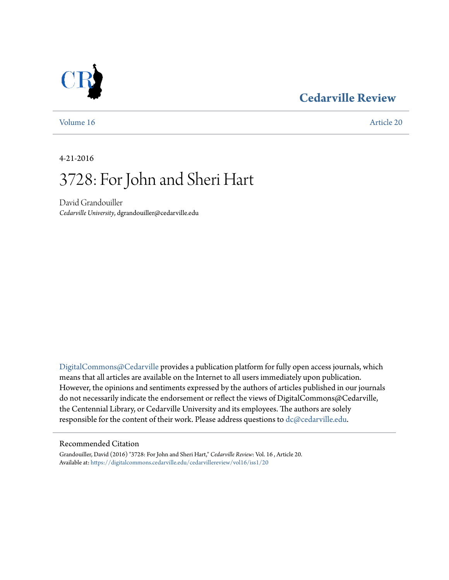### **[Cedarville Review](https://digitalcommons.cedarville.edu/cedarvillereview?utm_source=digitalcommons.cedarville.edu%2Fcedarvillereview%2Fvol16%2Fiss1%2F20&utm_medium=PDF&utm_campaign=PDFCoverPages)**



[Volume 16](https://digitalcommons.cedarville.edu/cedarvillereview/vol16?utm_source=digitalcommons.cedarville.edu%2Fcedarvillereview%2Fvol16%2Fiss1%2F20&utm_medium=PDF&utm_campaign=PDFCoverPages) [Article 20](https://digitalcommons.cedarville.edu/cedarvillereview/vol16/iss1/20?utm_source=digitalcommons.cedarville.edu%2Fcedarvillereview%2Fvol16%2Fiss1%2F20&utm_medium=PDF&utm_campaign=PDFCoverPages)

4-21-2016

# 3728: For John and Sheri Hart

David Grandouiller *Cedarville University*, dgrandouiller@cedarville.edu

[DigitalCommons@Cedarville](http://digitalcommons.cedarville.edu) provides a publication platform for fully open access journals, which means that all articles are available on the Internet to all users immediately upon publication. However, the opinions and sentiments expressed by the authors of articles published in our journals do not necessarily indicate the endorsement or reflect the views of DigitalCommons@Cedarville, the Centennial Library, or Cedarville University and its employees. The authors are solely responsible for the content of their work. Please address questions to [dc@cedarville.edu](mailto:dc@cedarville.edu).

#### Recommended Citation

Grandouiller, David (2016) "3728: For John and Sheri Hart," *Cedarville Review*: Vol. 16 , Article 20. Available at: [https://digitalcommons.cedarville.edu/cedarvillereview/vol16/iss1/20](https://digitalcommons.cedarville.edu/cedarvillereview/vol16/iss1/20?utm_source=digitalcommons.cedarville.edu%2Fcedarvillereview%2Fvol16%2Fiss1%2F20&utm_medium=PDF&utm_campaign=PDFCoverPages)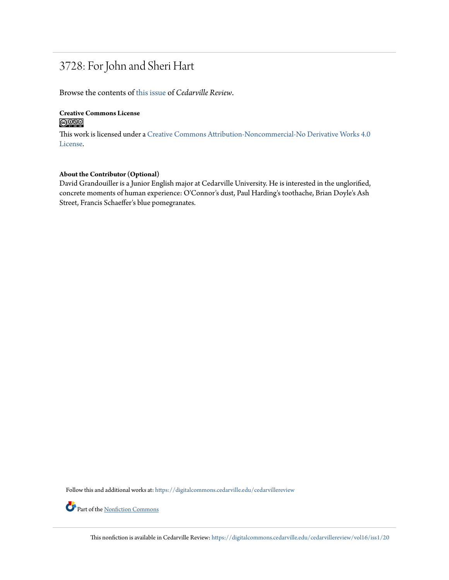## 3728: For John and Sheri Hart

Browse the contents of [this issue](https://digitalcommons.cedarville.edu/cedarvillereview/vol16/iss1) of *Cedarville Review*.

#### **Creative Commons License**  $\bigcirc$   $\circ$

This work is licensed under a [Creative Commons Attribution-Noncommercial-No Derivative Works 4.0](http://creativecommons.org/licenses/by-nc-nd/4.0/) [License.](http://creativecommons.org/licenses/by-nc-nd/4.0/)

#### **About the Contributor (Optional)**

David Grandouiller is a Junior English major at Cedarville University. He is interested in the unglorified, concrete moments of human experience: O'Connor's dust, Paul Harding's toothache, Brian Doyle's Ash Street, Francis Schaeffer's blue pomegranates.

Follow this and additional works at: [https://digitalcommons.cedarville.edu/cedarvillereview](https://digitalcommons.cedarville.edu/cedarvillereview?utm_source=digitalcommons.cedarville.edu%2Fcedarvillereview%2Fvol16%2Fiss1%2F20&utm_medium=PDF&utm_campaign=PDFCoverPages)

Part of the <u>[Nonfiction Commons](http://network.bepress.com/hgg/discipline/1152?utm_source=digitalcommons.cedarville.edu%2Fcedarvillereview%2Fvol16%2Fiss1%2F20&utm_medium=PDF&utm_campaign=PDFCoverPages)</u>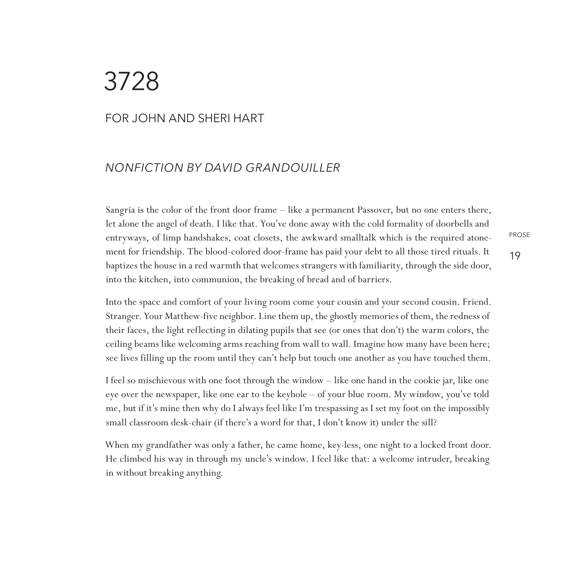## 3728

#### For John and Sheri Hart

#### *NONFICTION By David Grandouiller*

Sangria is the color of the front door frame – like a permanent Passover, but no one enters there, let alone the angel of death. I like that. You've done away with the cold formality of doorbells and entryways, of limp handshakes, coat closets, the awkward smalltalk which is the required atonement for friendship. The blood-colored door-frame has paid your debt to all those tired rituals. It baptizes the house in a red warmth that welcomes strangers with familiarity, through the side door, into the kitchen, into communion, the breaking of bread and of barriers.

PROSE

19

Into the space and comfort of your living room come your cousin and your second cousin. Friend. Stranger. Your Matthew-five neighbor. Line them up, the ghostly memories of them, the redness of their faces, the light reflecting in dilating pupils that see (or ones that don't) the warm colors, the ceiling beams like welcoming arms reaching from wall to wall. Imagine how many have been here; see lives filling up the room until they can't help but touch one another as you have touched them.

I feel so mischievous with one foot through the window – like one hand in the cookie jar, like one eye over the newspaper, like one ear to the keyhole – of your blue room. My window, you've told me, but if it's mine then why do I always feel like I'm trespassing as I set my foot on the impossibly small classroom desk-chair (if there's a word for that, I don't know it) under the sill?

When my grandfather was only a father, he came home, key-less, one night to a locked front door. He climbed his way in through my uncle's window. I feel like that: a welcome intruder, breaking in without breaking anything.